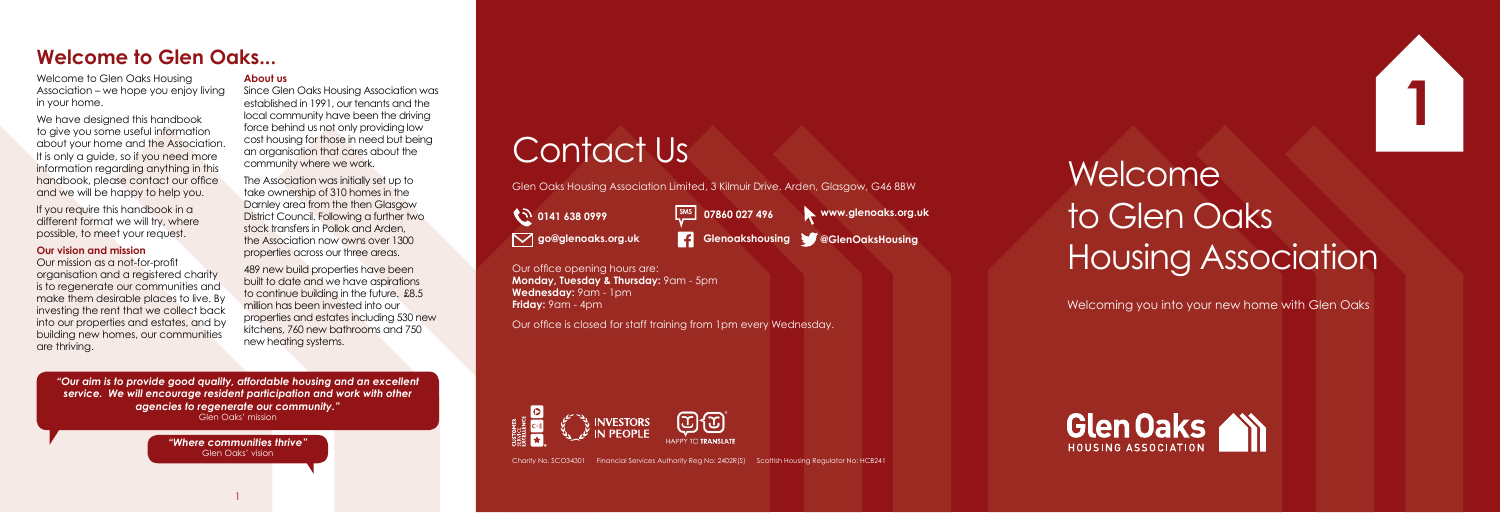Welcome to Glen Oaks Housing Association

Welcome to Glen Oaks Housing Association – we hope you enjoy living in your home.

If you require this handbook in a different format we will try, where possible, to meet your request.

We have designed this handbook to give you some useful information about your home and the Association. It is only a guide, so if you need more information regarding anything in this handbook, please contact our office and we will be happy to help you.

#### **Our vision and mission**

Our mission as a not-for-profit organisation and a registered charity is to regenerate our communities and make them desirable places to live. By investing the rent that we collect back into our properties and estates, and by building new homes, our communities are thriving.

The Association was initially set up to take ownership of 310 homes in the Darnley area from the then Glasgow District Council. Following a further two stock transfers in Pollok and Arden the Association now owns over 1300 properties across our three areas.

#### **About us**

Since Glen Oaks Housing Association was established in 1991, our tenants and the local community have been the driving force behind us not only providing low cost housing for those in need but being an organisation that cares about the community where we work.

> Our office opening hours are: **Monday, Tuesday & Thursday:** 9am - 5pm **Wednesday:** 9am - 1pm **Friday:** 9am - 4pm

489 new build properties have been built to date and we have aspirations to continue building in the future. £8.5 million has been invested into our properties and estates including 530 new kitchens, 760 new bathrooms and 750 new heating systems.

Welcoming you into your new home with Glen Oaks





1

Charity No. SCO34301 Financial Services Authority Reg No: 2402R(S) Scottish Housing Regulator No: HCB241

*"Our aim is to provide good quality, affordable housing and an excellent service. We will encourage resident participation and work with other agencies to regenerate our community."* Glen Oaks' mission

> *"Where communities thrive"* Glen Oaks' vision

# **Welcome to Glen Oaks...**

# Contact Us

Glen Oaks Housing Association Limited, 3 Kilmuir Drive, Arden, Glasgow, G46 8BW

**12 0141 638 0999** 

Our office is closed for staff training from 1pm every Wednesday.



**go@glenoaks.org.uk Glenoakshousing @GlenOaksHousing**

**SMS 07860 027 496 www.glenoaks.org.uk**